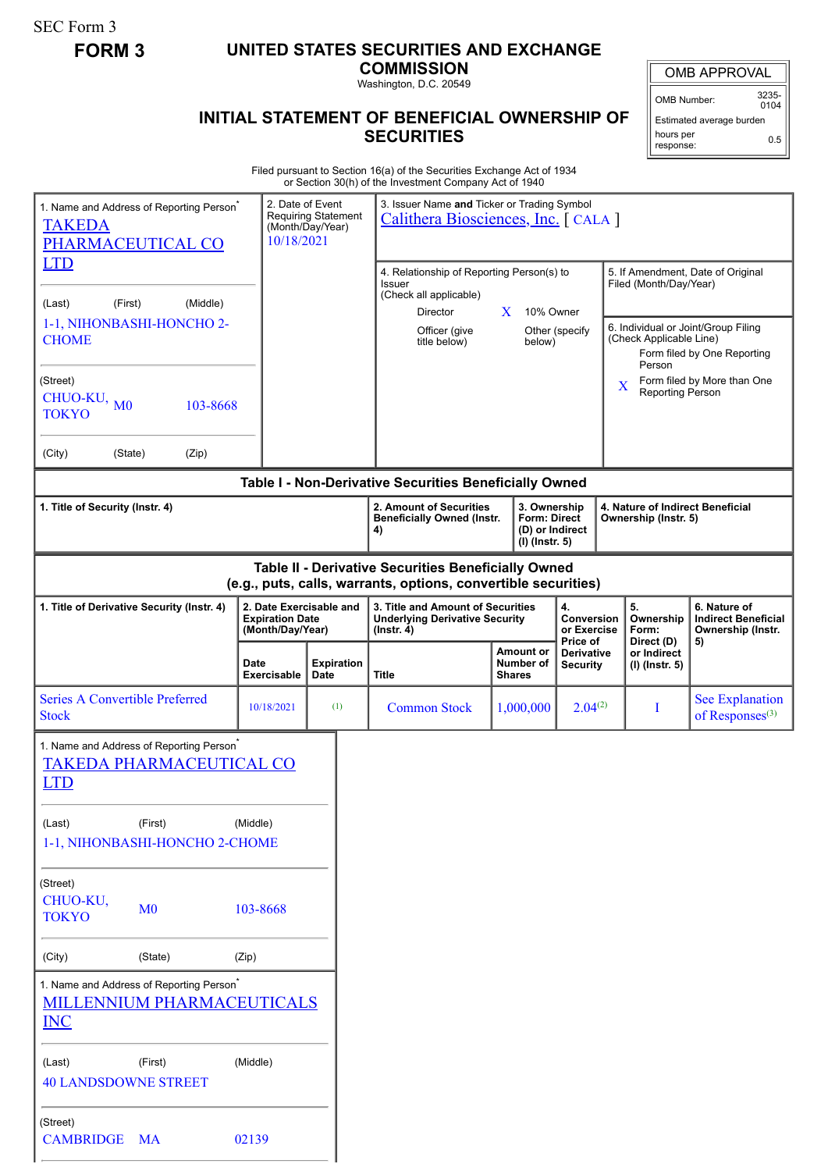SEC Form 3

## **FORM 3 UNITED STATES SECURITIES AND EXCHANGE**

**COMMISSION**

Washington, D.C. 20549

## **INITIAL STATEMENT OF BENEFICIAL OWNERSHIP OF SECURITIES**

OMB APPROVAL

OMB Number: 3235-  $0104$ 

Estimated average burden hours per response: 0.5

Filed pursuant to Section 16(a) of the Securities Exchange Act of 1934 or Section 30(h) of the Investment Company Act of 1940

| 1. Name and Address of Reporting Person <sup>®</sup><br><b>TAKEDA</b><br>PHARMACEUTICAL CO                            |                                                                                    | 2. Date of Event<br>10/18/2021                                        | <b>Requiring Statement</b><br>(Month/Day/Year)                                                                                                                                                           | 3. Issuer Name and Ticker or Trading Symbol<br>Calithera Biosciences, Inc. [CALA]                                                                                         |                                                |                                                          |                                      |                                                                                 |                                                                                                                                                              |                                              |  |
|-----------------------------------------------------------------------------------------------------------------------|------------------------------------------------------------------------------------|-----------------------------------------------------------------------|----------------------------------------------------------------------------------------------------------------------------------------------------------------------------------------------------------|---------------------------------------------------------------------------------------------------------------------------------------------------------------------------|------------------------------------------------|----------------------------------------------------------|--------------------------------------|---------------------------------------------------------------------------------|--------------------------------------------------------------------------------------------------------------------------------------------------------------|----------------------------------------------|--|
| <b>LTD</b><br>(Middle)<br>(First)<br>(Last)<br>1-1, NIHONBASHI-HONCHO 2-<br><b>CHOME</b>                              |                                                                                    |                                                                       |                                                                                                                                                                                                          | 4. Relationship of Reporting Person(s) to<br>Issuer<br>(Check all applicable)<br>10% Owner<br>Director<br>X.<br>Officer (give<br>Other (specify<br>title below)<br>below) |                                                |                                                          |                                      |                                                                                 | 5. If Amendment, Date of Original<br>Filed (Month/Day/Year)<br>6. Individual or Joint/Group Filing<br>(Check Applicable Line)<br>Form filed by One Reporting |                                              |  |
| (Street)<br>CHUO-KU,<br>M <sub>0</sub><br>103-8668<br><b>TOKYO</b>                                                    |                                                                                    |                                                                       |                                                                                                                                                                                                          |                                                                                                                                                                           |                                                |                                                          |                                      | Person<br>Form filed by More than One<br>$\mathbf X$<br><b>Reporting Person</b> |                                                                                                                                                              |                                              |  |
| (City)<br>(State)                                                                                                     | (Zip)                                                                              |                                                                       |                                                                                                                                                                                                          |                                                                                                                                                                           |                                                |                                                          |                                      |                                                                                 |                                                                                                                                                              |                                              |  |
| 1. Title of Security (Instr. 4)                                                                                       |                                                                                    |                                                                       | Table I - Non-Derivative Securities Beneficially Owned<br>2. Amount of Securities<br>3. Ownership<br><b>Form: Direct</b><br><b>Beneficially Owned (Instr.</b><br>(D) or Indirect<br>4)<br>(I) (Instr. 5) |                                                                                                                                                                           |                                                | 4. Nature of Indirect Beneficial<br>Ownership (Instr. 5) |                                      |                                                                                 |                                                                                                                                                              |                                              |  |
| Table II - Derivative Securities Beneficially Owned<br>(e.g., puts, calls, warrants, options, convertible securities) |                                                                                    |                                                                       |                                                                                                                                                                                                          |                                                                                                                                                                           |                                                |                                                          |                                      |                                                                                 |                                                                                                                                                              |                                              |  |
| 1. Title of Derivative Security (Instr. 4)                                                                            |                                                                                    | 2. Date Exercisable and<br><b>Expiration Date</b><br>(Month/Day/Year) |                                                                                                                                                                                                          | 3. Title and Amount of Securities<br><b>Underlying Derivative Security</b><br>$($ lnstr. 4 $)$                                                                            |                                                | 4.<br><b>Conversion</b><br>or Exercise<br>Price of       |                                      | 5.<br>Ownership<br>Form:<br>Direct (D)                                          | 6. Nature of<br><b>Indirect Beneficial</b><br>Ownership (Instr.<br>5)                                                                                        |                                              |  |
|                                                                                                                       |                                                                                    | Date<br>Exercisable                                                   | <b>Expiration</b><br>Date                                                                                                                                                                                | <b>Title</b>                                                                                                                                                              | <b>Amount or</b><br>Number of<br><b>Shares</b> |                                                          | <b>Derivative</b><br><b>Security</b> |                                                                                 | or Indirect<br>(I) (Instr. 5)                                                                                                                                |                                              |  |
| <b>Series A Convertible Preferred</b><br><b>Stock</b>                                                                 |                                                                                    | 10/18/2021                                                            | (1)                                                                                                                                                                                                      | <b>Common Stock</b>                                                                                                                                                       |                                                | 1,000,000                                                | $2.04^{(2)}$                         |                                                                                 | I                                                                                                                                                            | <b>See Explanation</b><br>of Responses $(3)$ |  |
| 1. Name and Address of Reporting Person <sup>®</sup><br><b>TAKEDA PHARMACEUTICAL CO</b><br><b>LTD</b>                 |                                                                                    |                                                                       |                                                                                                                                                                                                          |                                                                                                                                                                           |                                                |                                                          |                                      |                                                                                 |                                                                                                                                                              |                                              |  |
| (Last)                                                                                                                | (First)<br>1-1, NIHONBASHI-HONCHO 2-CHOME                                          | (Middle)                                                              |                                                                                                                                                                                                          |                                                                                                                                                                           |                                                |                                                          |                                      |                                                                                 |                                                                                                                                                              |                                              |  |
| (Street)<br>CHUO-KU,<br><b>TOKYO</b>                                                                                  | M <sub>0</sub>                                                                     | 103-8668                                                              |                                                                                                                                                                                                          |                                                                                                                                                                           |                                                |                                                          |                                      |                                                                                 |                                                                                                                                                              |                                              |  |
| (City)                                                                                                                | (State)                                                                            | (Zip)                                                                 |                                                                                                                                                                                                          |                                                                                                                                                                           |                                                |                                                          |                                      |                                                                                 |                                                                                                                                                              |                                              |  |
| <b>INC</b>                                                                                                            | 1. Name and Address of Reporting Person <sup>*</sup><br>MILLENNIUM PHARMACEUTICALS |                                                                       |                                                                                                                                                                                                          |                                                                                                                                                                           |                                                |                                                          |                                      |                                                                                 |                                                                                                                                                              |                                              |  |
| (Last)<br><b>40 LANDSDOWNE STREET</b>                                                                                 | (First)                                                                            | (Middle)                                                              |                                                                                                                                                                                                          |                                                                                                                                                                           |                                                |                                                          |                                      |                                                                                 |                                                                                                                                                              |                                              |  |
| (Street)<br><b>CAMBRIDGE</b>                                                                                          | <b>MA</b>                                                                          | 02139                                                                 |                                                                                                                                                                                                          |                                                                                                                                                                           |                                                |                                                          |                                      |                                                                                 |                                                                                                                                                              |                                              |  |